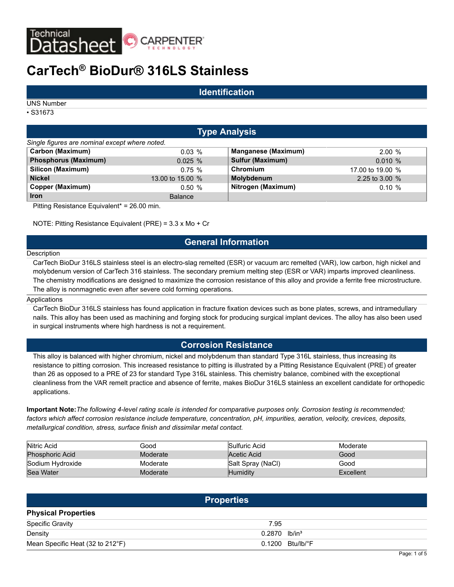

# **CarTech® BioDur® 316LS Stainless**

## **Identification**

UNS Number

• S31673

# **Type Analysis**

| Single figures are nominal except where noted. |                  |                            |                  |  |  |  |  |  |  |  |
|------------------------------------------------|------------------|----------------------------|------------------|--|--|--|--|--|--|--|
| Carbon (Maximum)                               | $0.03\%$         | <b>Manganese (Maximum)</b> | 2.00%            |  |  |  |  |  |  |  |
| <b>Phosphorus (Maximum)</b>                    | 0.025%           | <b>Sulfur (Maximum)</b>    | 0.010%           |  |  |  |  |  |  |  |
| Silicon (Maximum)                              | $0.75 \%$        | Chromium                   | 17,00 to 19,00 % |  |  |  |  |  |  |  |
| <b>Nickel</b>                                  | 13,00 to 15,00 % | Molybdenum                 | 2.25 to 3.00 $%$ |  |  |  |  |  |  |  |
| Copper (Maximum)                               | 0.50%            | Nitrogen (Maximum)         | $0.10 \%$        |  |  |  |  |  |  |  |
| <b>Iron</b>                                    | <b>Balance</b>   |                            |                  |  |  |  |  |  |  |  |

Pitting Resistance Equivalent\* = 26.00 min.

NOTE: Pitting Resistance Equivalent (PRE) = 3.3 x Mo + Cr

# **General Information**

#### Description

CarTech BioDur 316LS stainless steel is an electro-slag remelted (ESR) or vacuum arc remelted (VAR), low carbon, high nickel and molybdenum version of CarTech 316 stainless. The secondary premium melting step (ESR or VAR) imparts improved cleanliness. The chemistry modifications are designed to maximize the corrosion resistance of this alloy and provide a ferrite free microstructure. The alloy is nonmagnetic even after severe cold forming operations.

#### **Applications**

CarTech BioDur 316LS stainless has found application in fracture fixation devices such as bone plates, screws, and intramedullary nails. This alloy has been used as machining and forging stock for producing surgical implant devices. The alloy has also been used in surgical instruments where high hardness is not a requirement.

### **Corrosion Resistance**

This alloy is balanced with higher chromium, nickel and molybdenum than standard Type 316L stainless, thus increasing its resistance to pitting corrosion. This increased resistance to pitting is illustrated by a Pitting Resistance Equivalent (PRE) of greater than 26 as opposed to a PRE of 23 for standard Type 316L stainless. This chemistry balance, combined with the exceptional cleanliness from the VAR remelt practice and absence of ferrite, makes BioDur 316LS stainless an excellent candidate for orthopedic applications.

**Important Note:***The following 4-level rating scale is intended for comparative purposes only. Corrosion testing is recommended; factors which affect corrosion resistance include temperature, concentration, pH, impurities, aeration, velocity, crevices, deposits, metallurgical condition, stress, surface finish and dissimilar metal contact.*

| Nitric Acid            | Good     | Sulfuric Acid     | Moderate  |
|------------------------|----------|-------------------|-----------|
| <b>Phosphoric Acid</b> | Moderate | Acetic Acid       | Good      |
| Sodium Hydroxide       | Moderate | Salt Spray (NaCl) | Good      |
| Sea Water              | Moderate | Humiditv          | Excellent |

|                                  | <b>Properties</b>           |                              |
|----------------------------------|-----------------------------|------------------------------|
| <b>Physical Properties</b>       |                             |                              |
| <b>Specific Gravity</b>          | 7.95                        |                              |
| Density                          | $0.2870$ lb/in <sup>3</sup> |                              |
| Mean Specific Heat (32 to 212°F) |                             | $0.1200$ Btu/lb/ $\degree$ F |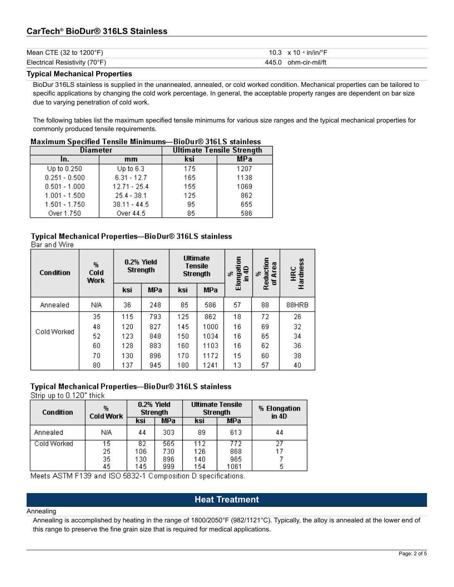# **CarTech® BioDur® 316LS Stainless**

| Mean CTE $(32 \text{ to } 1200 \degree F)$ | 10.3 $\times$ 10 ∘ in/in/°F |
|--------------------------------------------|-----------------------------|
| Electrical Resistivity (70°F)              | 445.0 ohm-cir-mil/ft        |

#### **Typical Mechanical Properties**

BioDur 316LS stainless is supplied in the unannealed, annealed, or cold worked condition. Mechanical properties can be tailored to specific applications by changing the cold work percentage. In general, the acceptable property ranges are dependent on bar size due to varying penetration of cold work.

The following tables list the maximum specified tensile minimums for various size ranges and the typical mechanical properties for commonly produced tensile requirements.

| Maximum Specified Tensile Minimums—BioDur® 316LS stainless |                |                                  |      |  |  |  |
|------------------------------------------------------------|----------------|----------------------------------|------|--|--|--|
| <b>Diameter</b>                                            |                | <b>Ultimate Tensile Strength</b> |      |  |  |  |
| In.                                                        | mm             | ksi                              | MPa  |  |  |  |
| Up to 0.250                                                | Up to $6.3$    | 175                              | 1207 |  |  |  |
| $0.251 - 0.500$                                            | $6.31 - 12.7$  | 165                              | 1138 |  |  |  |
| $0.501 - 1.000$                                            | $12.71 - 25.4$ | 155                              | 1069 |  |  |  |
| $1.001 - 1.500$                                            | $25.4 - 38.1$  | 125                              | 862  |  |  |  |
| $1.501 - 1.750$                                            | $38.11 - 44.5$ | 95                               | 655  |  |  |  |
| Over 1.750                                                 | Over 44.5      | 85                               | 586  |  |  |  |

#### $\overline{\phantom{a}}$  $\mathbf{r}$  $\sim$  $\sim$   $\sim$  $\cdots$  . . . .  $0.24010 \times 10^{-1}$

# Typical Mechanical Properties-BioDur® 316LS stainless

Bar and Wire

| Condition   | %<br>Cold<br><b>Work</b> | $0.2%$ Yield | <b>Strength</b> |     | <b>Ultimate</b><br><b>Tensile</b><br><b>Strength</b> | 등<br>Elongati<br>유<br>訳<br>€ | Reduction<br>Area<br>器<br>ቴ | Hardness<br>Hardness |
|-------------|--------------------------|--------------|-----------------|-----|------------------------------------------------------|------------------------------|-----------------------------|----------------------|
|             |                          | ksi          | <b>MPa</b>      | ksi | <b>MPa</b>                                           |                              |                             |                      |
| Annealed    | N/A                      | 36.          | 248             | 85  | 586                                                  | 57                           | 88                          | 88HRB                |
|             | 35                       | 115          | 793             | 125 | 862                                                  | 18                           | 72                          | 26                   |
|             | 48                       | 120          | 827             | 145 | 1000                                                 | 16                           | 69                          | 32                   |
| Cold Worked | 52                       | 123          | 848             | 150 | 1034                                                 | 16                           | 65                          | 34                   |
|             | 60                       | 128          | 883             | 160 | 1103                                                 | 16                           | 62                          | 36                   |
|             | 70.                      | 130          | 896             | 170 | 1172                                                 | 15                           | 60                          | 38                   |
|             | 80                       | 137          | 945             | 180 | 1241                                                 | 13                           | 57                          | 40                   |

#### Typical Mechanical Properties-BioDur® 316LS stainless

Strip up to 0.120" thick

| Condition   | 弘<br><b>Cold Work</b> | $0.2%$ Yield<br><b>Strength</b> |     | <b>Ultimate Tensile</b><br><b>Strength</b> |            | % Elongation<br>in $4D$ |  |
|-------------|-----------------------|---------------------------------|-----|--------------------------------------------|------------|-------------------------|--|
|             |                       | ksi                             | MPa | ksi                                        | <b>MPa</b> |                         |  |
| Annealed    | N/A                   | 44                              | 303 | 89                                         | 613        | 44                      |  |
| Cold Worked | 15                    | 82                              | 565 | 112                                        | 772        | 27                      |  |
|             | 25                    | 106                             | 730 | 126                                        | 868        |                         |  |
|             | 35                    | 130                             | 896 | 140                                        | 965        |                         |  |
|             | 45                    | 145                             | 999 | 154                                        | 1061       | 5                       |  |

Meets ASTM F139 and ISO 5832-1 Composition D specifications.

# **Heat Treatment**

#### Annealing

Annealing is accomplished by heating in the range of 1800/2050°F (982/1121°C). Typically, the alloy is annealed at the lower end of this range to preserve the fine grain size that is required for medical applications.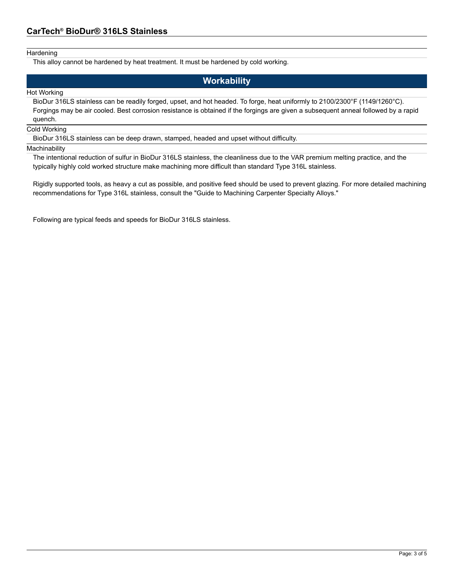#### **Hardening**

This alloy cannot be hardened by heat treatment. It must be hardened by cold working.

# **Workability**

#### Hot Working

BioDur 316LS stainless can be readily forged, upset, and hot headed. To forge, heat uniformly to 2100/2300°F (1149/1260°C). Forgings may be air cooled. Best corrosion resistance is obtained if the forgings are given a subsequent anneal followed by a rapid quench.

#### Cold Working

BioDur 316LS stainless can be deep drawn, stamped, headed and upset without difficulty.

#### **Machinability**

The intentional reduction of sulfur in BioDur 316LS stainless, the cleanliness due to the VAR premium melting practice, and the typically highly cold worked structure make machining more difficult than standard Type 316L stainless.

Rigidly supported tools, as heavy a cut as possible, and positive feed should be used to prevent glazing. For more detailed machining recommendations for Type 316L stainless, consult the "Guide to Machining Carpenter Specialty Alloys."

Following are typical feeds and speeds for BioDur 316LS stainless.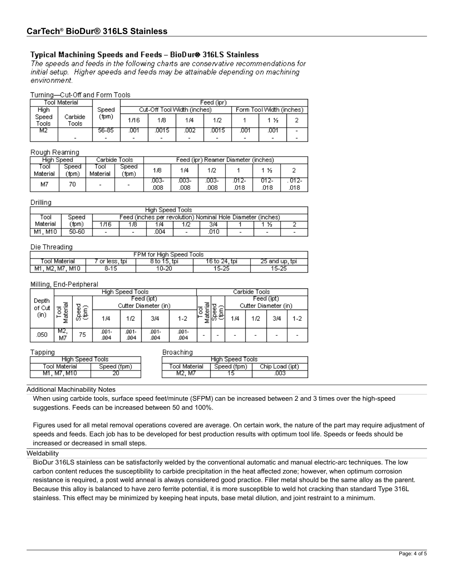# Typical Machining Speeds and Feeds - BioDur® 316LS Stainless

The speeds and feeds in the following charts are conservative recommendations for initial setup. Higher speeds and feeds may be attainable depending on machining environment.

#### Turning-Cut-Off and Form Tools

|                | Tool Material    |       |                             | Feed (ipr) |     |      |                          |      |  |
|----------------|------------------|-------|-----------------------------|------------|-----|------|--------------------------|------|--|
| High           |                  | Speed | Cut-Off Tool Width (inches) |            |     |      | Form Tool Width (inches) |      |  |
| Speed<br>Fools | Carbide<br>Tools | (fpm) | 1/16                        | 1/8        | 174 | 1/2  |                          | 1 ½  |  |
| М2             |                  | 56-85 | 001                         | 0015       | 002 | 0015 | .001                     | .001 |  |
|                |                  | -     |                             |            |     |      |                          |      |  |

#### Rough Reaming

| High Speed       |               |                  | Carbide Tools            | Feed (ipr) Reamer Diameter (inches) |             |              |               |              |              |
|------------------|---------------|------------------|--------------------------|-------------------------------------|-------------|--------------|---------------|--------------|--------------|
| Tool<br>Material | Speed<br>(fpm | Tool<br>Material | Speed<br>(fpm            | 1/8                                 | 1/4         |              |               | 1 ½          |              |
| M7               |               |                  | $\overline{\phantom{a}}$ | .003-<br>.008                       | 003-<br>008 | 003-<br>.008 | .012-<br>.018 | 012-<br>.018 | U12-<br>.018 |

#### Drilling

| High Speed Tools |                                                                      |                          |                                                                                                  |     |  |     |  |  |  |  |  |
|------------------|----------------------------------------------------------------------|--------------------------|--------------------------------------------------------------------------------------------------|-----|--|-----|--|--|--|--|--|
| Tool             | Feed (inches per revolution) Nominal Hole Diameter (inches)<br>Speed |                          |                                                                                                  |     |  |     |  |  |  |  |  |
| Material         | `fpm)                                                                | 1/16                     | 1/8                                                                                              | 1/4 |  | 3/4 |  |  |  |  |  |
| M1.M10           | 50-60                                                                | $\overline{\phantom{a}}$ | .004<br>.010<br>$\overline{\phantom{0}}$<br>$\overline{\phantom{0}}$<br>$\overline{\phantom{0}}$ |     |  |     |  |  |  |  |  |

#### Die Threading

| FPM for High Speed Tools |              |              |               |                |  |  |  |  |
|--------------------------|--------------|--------------|---------------|----------------|--|--|--|--|
| [ool Material            | or less, tpi | 8 to 15, tpi | 16 to 24, tpi | 25 and up, tpi |  |  |  |  |
| M1, M2, M7, M10          | 8-15         | 10-20        | 15-25         | 15-25          |  |  |  |  |

#### Milling, End-Peripheral

|        |                      | High Speed Tools |               |               |               |               |        |  | Carbide Tools        |            |     |         |  |
|--------|----------------------|------------------|---------------|---------------|---------------|---------------|--------|--|----------------------|------------|-----|---------|--|
| Depth  | ᢎ                    |                  |               |               | Feed (ipt)    |               |        |  |                      | Feed (ipt) |     |         |  |
| of Cut | Cutter Diameter (in) |                  |               |               |               | o             |        |  | Cutter Diameter (in) |            |     |         |  |
| (in)   | g<br>ğ<br>西<br>Σ     | င်း<br>မြင်      | 1/4           | 1/2           | 3/4           | $1-2$         | o<br>Σ |  | 1/4                  | 1/2        | 3/4 | $1 - 2$ |  |
| .050   | M2.<br>M7            | 75               | .001-<br>.004 | .001-<br>.004 | .001-<br>.004 | .001-<br>.004 | -      |  | -                    |            |     |         |  |

#### Tapping

#### **Broaching**

| ------<br>High Speed Tools |             |               | ⊦Speed Tools<br>High |                 |
|----------------------------|-------------|---------------|----------------------|-----------------|
| Tool Material              | Speed (fpm) | ⊺ool Material | Speed (fpm)          | Chip Load (ipt) |
| M1. M7. M10                |             | M2, M7        |                      | .003            |

#### Additional Machinability Notes

When using carbide tools, surface speed feet/minute (SFPM) can be increased between 2 and 3 times over the high-speed suggestions. Feeds can be increased between 50 and 100%.

Figures used for all metal removal operations covered are average. On certain work, the nature of the part may require adjustment of speeds and feeds. Each job has to be developed for best production results with optimum tool life. Speeds or feeds should be increased or decreased in small steps.

#### **Weldability**

BioDur 316LS stainless can be satisfactorily welded by the conventional automatic and manual electric-arc techniques. The low carbon content reduces the susceptibility to carbide precipitation in the heat affected zone; however, when optimum corrosion resistance is required, a post weld anneal is always considered good practice. Filler metal should be the same alloy as the parent. Because this alloy is balanced to have zero ferrite potential, it is more susceptible to weld hot cracking than standard Type 316L stainless. This effect may be minimized by keeping heat inputs, base metal dilution, and joint restraint to a minimum.